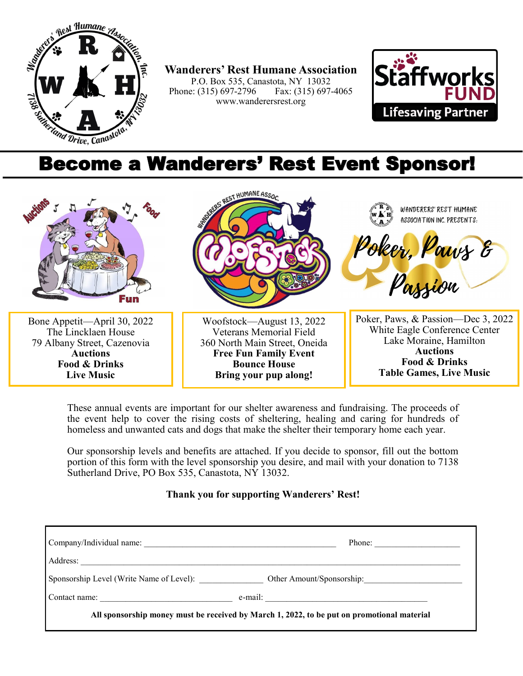

**Wanderers' Rest Humane Association** P.O. Box 535, Canastota, NY 13032<br>
e: (315) 697-2796 Fax: (315) 697-4065 Phone: (315) 697-2796 www.wanderersrest.org



## Become a Wanderers' Rest Event Sponsor!



These annual events are important for our shelter awareness and fundraising. The proceeds of the event help to cover the rising costs of sheltering, healing and caring for hundreds of homeless and unwanted cats and dogs that make the shelter their temporary home each year.

Our sponsorship levels and benefits are attached. If you decide to sponsor, fill out the bottom portion of this form with the level sponsorship you desire, and mail with your donation to 7138 Sutherland Drive, PO Box 535, Canastota, NY 13032.

## **Thank you for supporting Wanderers' Rest!**

|                                                                        | Phone:                                                                                     |
|------------------------------------------------------------------------|--------------------------------------------------------------------------------------------|
| Address:<br><u> 1980 - John Stein, Amerikaansk politiker (</u> † 1902) |                                                                                            |
| Sponsorship Level (Write Name of Level):                               | Other Amount/Sponsorship:                                                                  |
| Contact name:<br><u> 1990 - Johann Barbara, martin a</u>               | $e$ -mail:                                                                                 |
|                                                                        | All sponsorship money must be received by March 1, 2022, to be put on promotional material |